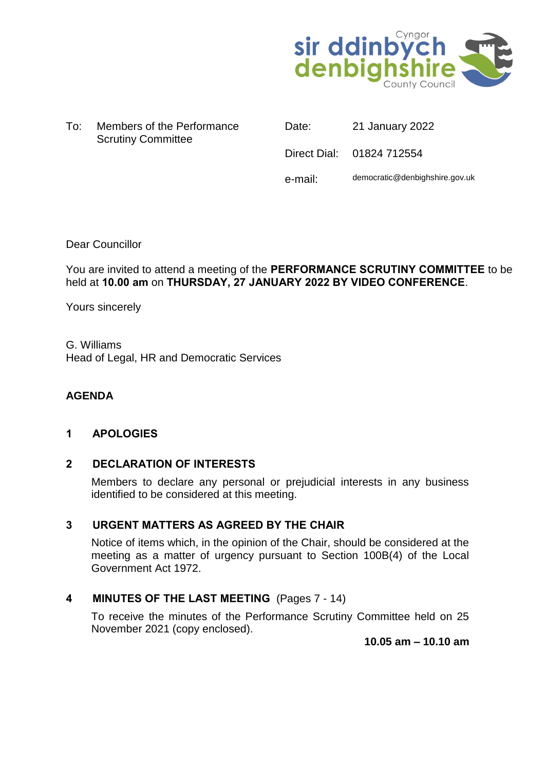

| To: | Members of the Performance |  |
|-----|----------------------------|--|
|     | <b>Scrutiny Committee</b>  |  |

| Date:   | 21 January 2022                |
|---------|--------------------------------|
|         | Direct Dial: 01824 712554      |
| e-mail: | democratic@denbighshire.gov.uk |

Dear Councillor

# You are invited to attend a meeting of the **PERFORMANCE SCRUTINY COMMITTEE** to be held at **10.00 am** on **THURSDAY, 27 JANUARY 2022 BY VIDEO CONFERENCE**.

Yours sincerely

G. Williams Head of Legal, HR and Democratic Services

# **AGENDA**

# **1 APOLOGIES**

# **2 DECLARATION OF INTERESTS**

Members to declare any personal or prejudicial interests in any business identified to be considered at this meeting.

# **3 URGENT MATTERS AS AGREED BY THE CHAIR**

Notice of items which, in the opinion of the Chair, should be considered at the meeting as a matter of urgency pursuant to Section 100B(4) of the Local Government Act 1972.

# **4 MINUTES OF THE LAST MEETING** (Pages 7 - 14)

To receive the minutes of the Performance Scrutiny Committee held on 25 November 2021 (copy enclosed).

**10.05 am – 10.10 am**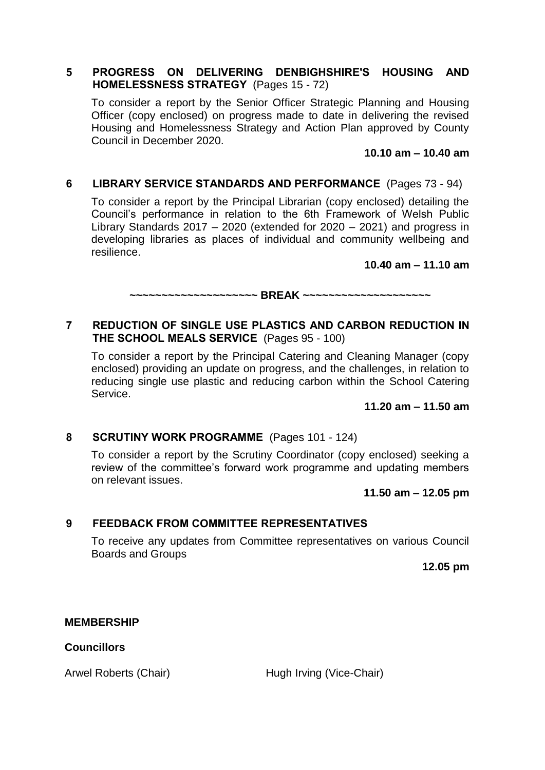# **5 PROGRESS ON DELIVERING DENBIGHSHIRE'S HOUSING AND HOMELESSNESS STRATEGY** (Pages 15 - 72)

To consider a report by the Senior Officer Strategic Planning and Housing Officer (copy enclosed) on progress made to date in delivering the revised Housing and Homelessness Strategy and Action Plan approved by County Council in December 2020.

**10.10 am – 10.40 am**

# **6 LIBRARY SERVICE STANDARDS AND PERFORMANCE** (Pages 73 - 94)

To consider a report by the Principal Librarian (copy enclosed) detailing the Council's performance in relation to the 6th Framework of Welsh Public Library Standards 2017 – 2020 (extended for 2020 – 2021) and progress in developing libraries as places of individual and community wellbeing and resilience.

#### **10.40 am – 11.10 am**

**~~~~~~~~~~~~~~~~~~~~ BREAK ~~~~~~~~~~~~~~~~~~~~**

# **7 REDUCTION OF SINGLE USE PLASTICS AND CARBON REDUCTION IN THE SCHOOL MEALS SERVICE** (Pages 95 - 100)

To consider a report by the Principal Catering and Cleaning Manager (copy enclosed) providing an update on progress, and the challenges, in relation to reducing single use plastic and reducing carbon within the School Catering Service.

**11.20 am – 11.50 am**

# **8 SCRUTINY WORK PROGRAMME** (Pages 101 - 124)

To consider a report by the Scrutiny Coordinator (copy enclosed) seeking a review of the committee's forward work programme and updating members on relevant issues.

#### **11.50 am – 12.05 pm**

# **9 FEEDBACK FROM COMMITTEE REPRESENTATIVES**

To receive any updates from Committee representatives on various Council Boards and Groups

**12.05 pm**

# **MEMBERSHIP**

**Councillors**

Arwel Roberts (Chair) Hugh Irving (Vice-Chair)